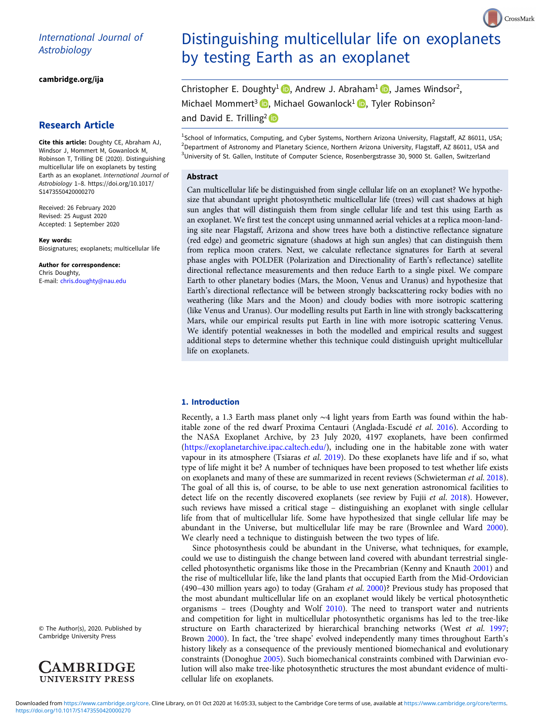# International Journal of<br>Astrobiology Astrobiology

[cambridge.org/ija](https://www.cambridge.org/ija)

# Research Article

Cite this article: Doughty CE, Abraham AJ, Windsor J, Mommert M, Gowanlock M, Robinson T, Trilling DE (2020). Distinguishing multicellular life on exoplanets by testing Earth as an exoplanet. International Journal of Astrobiology <sup>1</sup>–8. [https://doi.org/10.1017/](https://doi.org/10.1017/S1473550420000270) [S1473550420000270](https://doi.org/10.1017/S1473550420000270)

Received: 26 February 2020 Revised: 25 August 2020 Accepted: 1 September 2020

Key words: Biosignatures; exoplanets; multicellular life

Author for correspondence: Chris Doughty, E-mail: [chris.doughty@nau.edu](mailto:chris.doughty@nau.edu)

© The Author(s), 2020. Published by Cambridge University Press



# Distinguishing multicellular life on exoplanets by testing Earth as an exoplanet

CrossMark

Christopher E. Doughty<sup>1</sup> **D**[,](https://orcid.org/0000-0003-3985-7960) Andrew J. Abraham<sup>1</sup> **D**, James Windsor<sup>2</sup>, Michael Mommert<sup>3</sup> **D**[,](https://orcid.org/0000-0002-0826-6204) Michael Gowanlock<sup>1</sup> **D**, Tyler Robinson<sup>2</sup> and David E. Trilling<sup>2</sup>

<sup>1</sup>School of Informatics, Computing, and Cyber Systems, Northern Arizona University, Flagstaff, AZ 86011, USA; <sup>2</sup>Department of Astronomy and Planetary Science, Northern Arizona University, Flagstaff, AZ 86011, USA and <sup>3</sup>University of St. Gallen, Institute of Computer Science, Rosenbergstrasse 30, 9000 St. Gallen, Switzerland

# Abstract

Can multicellular life be distinguished from single cellular life on an exoplanet? We hypothesize that abundant upright photosynthetic multicellular life (trees) will cast shadows at high sun angles that will distinguish them from single cellular life and test this using Earth as an exoplanet. We first test the concept using unmanned aerial vehicles at a replica moon-landing site near Flagstaff, Arizona and show trees have both a distinctive reflectance signature (red edge) and geometric signature (shadows at high sun angles) that can distinguish them from replica moon craters. Next, we calculate reflectance signatures for Earth at several phase angles with POLDER (Polarization and Directionality of Earth's reflectance) satellite directional reflectance measurements and then reduce Earth to a single pixel. We compare Earth to other planetary bodies (Mars, the Moon, Venus and Uranus) and hypothesize that Earth's directional reflectance will be between strongly backscattering rocky bodies with no weathering (like Mars and the Moon) and cloudy bodies with more isotropic scattering (like Venus and Uranus). Our modelling results put Earth in line with strongly backscattering Mars, while our empirical results put Earth in line with more isotropic scattering Venus. We identify potential weaknesses in both the modelled and empirical results and suggest additional steps to determine whether this technique could distinguish upright multicellular life on exoplanets.

# 1. Introduction

Recently, a 1.3 Earth mass planet only ∼4 light years from Earth was found within the habitable zone of the red dwarf Proxima Centauri (Anglada-Escudé et al. [2016\)](#page-6-0). According to the NASA Exoplanet Archive, by 23 July 2020, 4197 exoplanets, have been confirmed ([https://exoplanetarchive.ipac.caltech.edu/\)](https://exoplanetarchive.ipac.caltech.edu/), including one in the habitable zone with water vapour in its atmosphere (Tsiaras et al. [2019\)](#page-7-0). Do these exoplanets have life and if so, what type of life might it be? A number of techniques have been proposed to test whether life exists on exoplanets and many of these are summarized in recent reviews (Schwieterman et al. [2018](#page-7-0)). The goal of all this is, of course, to be able to use next generation astronomical facilities to detect life on the recently discovered exoplanets (see review by Fujii et al. [2018\)](#page-7-0). However, such reviews have missed a critical stage – distinguishing an exoplanet with single cellular life from that of multicellular life. Some have hypothesized that single cellular life may be abundant in the Universe, but multicellular life may be rare (Brownlee and Ward [2000](#page-6-0)). We clearly need a technique to distinguish between the two types of life.

Since photosynthesis could be abundant in the Universe, what techniques, for example, could we use to distinguish the change between land covered with abundant terrestrial singlecelled photosynthetic organisms like those in the Precambrian (Kenny and Knauth [2001](#page-7-0)) and the rise of multicellular life, like the land plants that occupied Earth from the Mid-Ordovician (490–430 million years ago) to today (Graham et al. [2000](#page-7-0))? Previous study has proposed that the most abundant multicellular life on an exoplanet would likely be vertical photosynthetic organisms – trees (Doughty and Wolf [2010](#page-7-0)). The need to transport water and nutrients and competition for light in multicellular photosynthetic organisms has led to the tree-like structure on Earth characterized by hierarchical branching networks (West et al. [1997](#page-7-0); Brown [2000\)](#page-6-0). In fact, the 'tree shape' evolved independently many times throughout Earth's history likely as a consequence of the previously mentioned biomechanical and evolutionary constraints (Donoghue [2005](#page-7-0)). Such biomechanical constraints combined with Darwinian evolution will also make tree-like photosynthetic structures the most abundant evidence of multicellular life on exoplanets.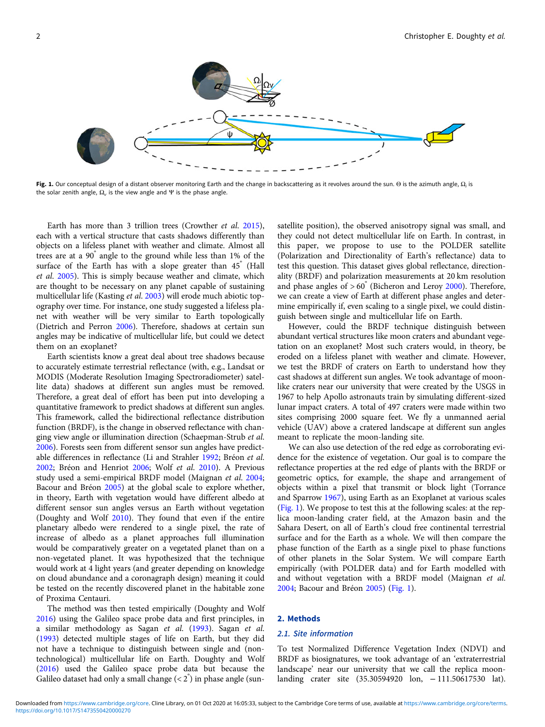<span id="page-1-0"></span>

Fig. 1. Our conceptual design of a distant observer monitoring Earth and the change in backscattering as it revolves around the sun. Θ is the azimuth angle,  $\Omega_i$  is the solar zenith angle,  $\Omega_{\nu}$  is the view angle and Ψ is the phase angle.

Earth has more than 3 trillion trees (Crowther et al. [2015\)](#page-7-0), each with a vertical structure that casts shadows differently than objects on a lifeless planet with weather and climate. Almost all trees are at a 90° angle to the ground while less than 1% of the surface of the Earth has with a slope greater than  $45^{\degree}$  (Hall et al. [2005\)](#page-7-0). This is simply because weather and climate, which are thought to be necessary on any planet capable of sustaining multicellular life (Kasting et al. [2003\)](#page-7-0) will erode much abiotic topography over time. For instance, one study suggested a lifeless planet with weather will be very similar to Earth topologically (Dietrich and Perron [2006](#page-7-0)). Therefore, shadows at certain sun angles may be indicative of multicellular life, but could we detect them on an exoplanet?

Earth scientists know a great deal about tree shadows because to accurately estimate terrestrial reflectance (with, e.g., Landsat or MODIS (Moderate Resolution Imaging Spectroradiometer) satellite data) shadows at different sun angles must be removed. Therefore, a great deal of effort has been put into developing a quantitative framework to predict shadows at different sun angles. This framework, called the bidirectional reflectance distribution function (BRDF), is the change in observed reflectance with changing view angle or illumination direction (Schaepman-Strub et al. [2006\)](#page-7-0). Forests seen from different sensor sun angles have predictable differences in reflectance (Li and Strahler [1992;](#page-7-0) Bréon et al. [2002;](#page-6-0) Bréon and Henriot [2006](#page-6-0); Wolf et al. [2010\)](#page-7-0). A Previous study used a semi-empirical BRDF model (Maignan et al. [2004](#page-7-0); Bacour and Bréon [2005\)](#page-6-0) at the global scale to explore whether, in theory, Earth with vegetation would have different albedo at different sensor sun angles versus an Earth without vegetation (Doughty and Wolf [2010\)](#page-7-0). They found that even if the entire planetary albedo were rendered to a single pixel, the rate of increase of albedo as a planet approaches full illumination would be comparatively greater on a vegetated planet than on a non-vegetated planet. It was hypothesized that the technique would work at 4 light years (and greater depending on knowledge on cloud abundance and a coronagraph design) meaning it could be tested on the recently discovered planet in the habitable zone of Proxima Centauri.

The method was then tested empirically (Doughty and Wolf [2016\)](#page-7-0) using the Galileo space probe data and first principles, in a similar methodology as Sagan et al. ([1993](#page-7-0)). Sagan et al. ([1993](#page-7-0)) detected multiple stages of life on Earth, but they did not have a technique to distinguish between single and (nontechnological) multicellular life on Earth. Doughty and Wolf ([2016](#page-7-0)) used the Galileo space probe data but because the Galileo dataset had only a small change  $(< 2^{\degree})$  in phase angle (sun-

satellite position), the observed anisotropy signal was small, and they could not detect multicellular life on Earth. In contrast, in this paper, we propose to use to the POLDER satellite (Polarization and Directionality of Earth's reflectance) data to test this question. This dataset gives global reflectance, directionality (BRDF) and polarization measurements at 20 km resolution and phase angles of  $> 60^{\degree}$  (Bicheron and Leroy [2000](#page-6-0)). Therefore, we can create a view of Earth at different phase angles and determine empirically if, even scaling to a single pixel, we could distinguish between single and multicellular life on Earth.

However, could the BRDF technique distinguish between abundant vertical structures like moon craters and abundant vegetation on an exoplanet? Most such craters would, in theory, be eroded on a lifeless planet with weather and climate. However, we test the BRDF of craters on Earth to understand how they cast shadows at different sun angles. We took advantage of moonlike craters near our university that were created by the USGS in 1967 to help Apollo astronauts train by simulating different-sized lunar impact craters. A total of 497 craters were made within two sites comprising 2000 square feet. We fly a unmanned aerial vehicle (UAV) above a cratered landscape at different sun angles meant to replicate the moon-landing site.

We can also use detection of the red edge as corroborating evidence for the existence of vegetation. Our goal is to compare the reflectance properties at the red edge of plants with the BRDF or geometric optics, for example, the shape and arrangement of objects within a pixel that transmit or block light (Torrance and Sparrow [1967\)](#page-7-0), using Earth as an Exoplanet at various scales (Fig. 1). We propose to test this at the following scales: at the replica moon-landing crater field, at the Amazon basin and the Sahara Desert, on all of Earth's cloud free continental terrestrial surface and for the Earth as a whole. We will then compare the phase function of the Earth as a single pixel to phase functions of other planets in the Solar System. We will compare Earth empirically (with POLDER data) and for Earth modelled with and without vegetation with a BRDF model (Maignan et al. [2004;](#page-7-0) Bacour and Bréon [2005](#page-6-0)) (Fig. 1).

# 2. Methods

#### 2.1. Site information

To test Normalized Difference Vegetation Index (NDVI) and BRDF as biosignatures, we took advantage of an 'extraterrestrial landscape' near our university that we call the replica moonlanding crater site (35.30594920 lon, − 111.50617530 lat).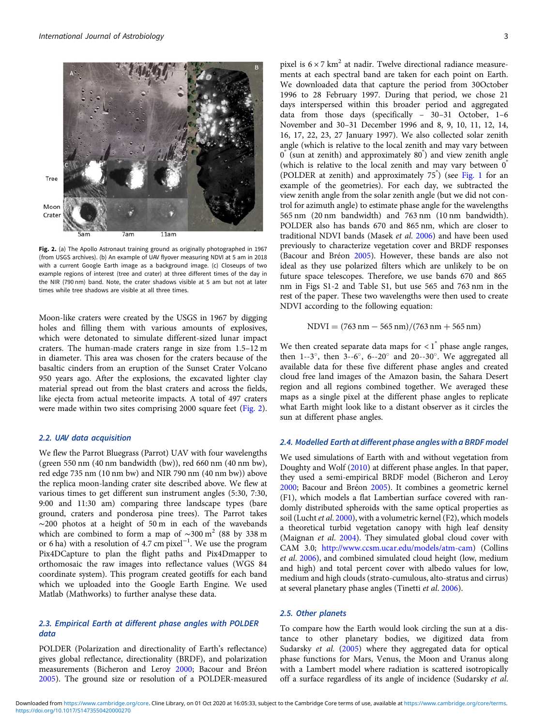<span id="page-2-0"></span>

Fig. 2. (a) The Apollo Astronaut training ground as originally photographed in 1967 (from USGS archives). (b) An example of UAV flyover measuring NDVI at 5 am in 2018 with a current Google Earth image as a background image. (c) Closeups of two example regions of interest (tree and crater) at three different times of the day in the NIR (790 nm) band. Note, the crater shadows visible at 5 am but not at later times while tree shadows are visible at all three times.

Moon-like craters were created by the USGS in 1967 by digging holes and filling them with various amounts of explosives, which were detonated to simulate different-sized lunar impact craters. The human-made craters range in size from 1.5–12 m in diameter. This area was chosen for the craters because of the basaltic cinders from an eruption of the Sunset Crater Volcano 950 years ago. After the explosions, the excavated lighter clay material spread out from the blast craters and across the fields, like ejecta from actual meteorite impacts. A total of 497 craters were made within two sites comprising 2000 square feet (Fig. 2).

#### 2.2. UAV data acquisition

We flew the Parrot Bluegrass (Parrot) UAV with four wavelengths (green 550 nm (40 nm bandwidth (bw)), red 660 nm (40 nm bw), red edge 735 nm (10 nm bw) and NIR 790 nm (40 nm bw)) above the replica moon-landing crater site described above. We flew at various times to get different sun instrument angles (5:30, 7:30, 9:00 and 11:30 am) comparing three landscape types (bare ground, craters and ponderosa pine trees). The Parrot takes ∼200 photos at a height of 50 m in each of the wavebands which are combined to form a map of  $\sim$ 300 m<sup>2</sup> (88 by 338 m or 6 ha) with a resolution of 4.7 cm pixel<sup>-1</sup>. We use the program Pix4DCapture to plan the flight paths and Pix4Dmapper to orthomosaic the raw images into reflectance values (WGS 84 coordinate system). This program created geotiffs for each band which we uploaded into the Google Earth Engine. We used Matlab (Mathworks) to further analyse these data.

# 2.3. Empirical Earth at different phase angles with POLDER data

POLDER (Polarization and directionality of Earth's reflectance) gives global reflectance, directionality (BRDF), and polarization measurements (Bicheron and Leroy [2000](#page-6-0); Bacour and Bréon [2005\)](#page-6-0). The ground size or resolution of a POLDER-measured pixel is  $6 \times 7$  km<sup>2</sup> at nadir. Twelve directional radiance measurements at each spectral band are taken for each point on Earth. We downloaded data that capture the period from 30October 1996 to 28 February 1997. During that period, we chose 21 days interspersed within this broader period and aggregated data from those days (specifically – 30–31 October, 1–6 November and 30–31 December 1996 and 8, 9, 10, 11, 12, 14, 16, 17, 22, 23, 27 January 1997). We also collected solar zenith angle (which is relative to the local zenith and may vary between 0° (sun at zenith) and approximately 80° ) and view zenith angle (which is relative to the local zenith and may vary between 0° (POLDER at zenith) and approximately 75° ) (see [Fig. 1](#page-1-0) for an example of the geometries). For each day, we subtracted the view zenith angle from the solar zenith angle (but we did not control for azimuth angle) to estimate phase angle for the wavelengths 565 nm (20 nm bandwidth) and 763 nm (10 nm bandwidth). POLDER also has bands 670 and 865 nm, which are closer to traditional NDVI bands (Masek et al. [2006\)](#page-7-0) and have been used previously to characterize vegetation cover and BRDF responses (Bacour and Bréon [2005](#page-6-0)). However, these bands are also not ideal as they use polarized filters which are unlikely to be on future space telescopes. Therefore, we use bands 670 and 865 nm in Figs S1-2 and Table S1, but use 565 and 763 nm in the rest of the paper. These two wavelengths were then used to create NDVI according to the following equation:

$$
NDVI = (763 \text{ nm} - 565 \text{ nm})/(763 \text{ nm} + 565 \text{ nm})
$$

We then created separate data maps for  $\langle 1 \rangle$  phase angle ranges, then 1--3 $\degree$ , then 3--6 $\degree$ , 6--20 $\degree$  and 20--30 $\degree$ . We aggregated all available data for these five different phase angles and created cloud free land images of the Amazon basin, the Sahara Desert region and all regions combined together. We averaged these maps as a single pixel at the different phase angles to replicate what Earth might look like to a distant observer as it circles the sun at different phase angles.

# 2.4. Modelled Earth at different phase angles with a BRDF model

We used simulations of Earth with and without vegetation from Doughty and Wolf [\(2010](#page-7-0)) at different phase angles. In that paper, they used a semi-empirical BRDF model (Bicheron and Leroy [2000](#page-6-0); Bacour and Bréon [2005\)](#page-6-0). It combines a geometric kernel (F1), which models a flat Lambertian surface covered with randomly distributed spheroids with the same optical properties as soil (Lucht et al. [2000](#page-7-0)), with a volumetric kernel (F2), which models a theoretical turbid vegetation canopy with high leaf density (Maignan et al. [2004](#page-7-0)). They simulated global cloud cover with CAM 3.0; [http://www.ccsm.ucar.edu/models/atm-cam\)](http://www.ccsm.ucar.edu/models/atm-cam) (Collins et al. [2006\)](#page-6-0), and combined simulated cloud height (low, medium and high) and total percent cover with albedo values for low, medium and high clouds (strato-cumulous, alto-stratus and cirrus) at several planetary phase angles (Tinetti et al. [2006\)](#page-7-0).

## 2.5. Other planets

To compare how the Earth would look circling the sun at a distance to other planetary bodies, we digitized data from Sudarsky et al. ([2005](#page-7-0)) where they aggregated data for optical phase functions for Mars, Venus, the Moon and Uranus along with a Lambert model where radiation is scattered isotropically off a surface regardless of its angle of incidence (Sudarsky et al.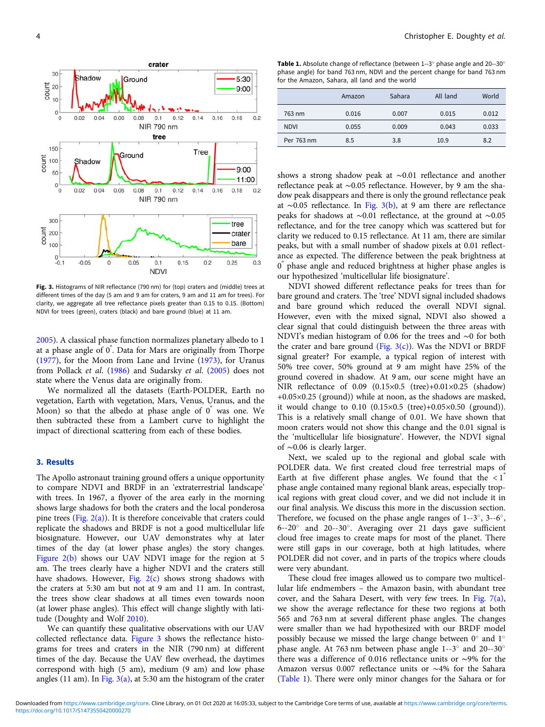<span id="page-3-0"></span>

Fig. 3. Histograms of NIR reflectance (790 nm) for (top) craters and (middle) trees at different times of the day (5 am and 9 am for craters, 9 am and 11 am for trees). For clarity, we aggregate all tree reflectance pixels greater than 0.15 to 0.15. (Bottom) NDVI for trees (green), craters (black) and bare ground (blue) at 11 am.

[2005\)](#page-7-0). A classical phase function normalizes planetary albedo to 1 at a phase angle of 0° . Data for Mars are originally from Thorpe ([1977](#page-7-0)), for the Moon from Lane and Irvine [\(1973](#page-7-0)), for Uranus from Pollack et al. [\(1986\)](#page-7-0) and Sudarsky et al. ([2005\)](#page-7-0) does not state where the Venus data are originally from.

We normalized all the datasets (Earth-POLDER, Earth no vegetation, Earth with vegetation, Mars, Venus, Uranus, and the Moon) so that the albedo at phase angle of  $0^{\degree}$  was one. We then subtracted these from a Lambert curve to highlight the impact of directional scattering from each of these bodies.

# 3. Results

The Apollo astronaut training ground offers a unique opportunity to compare NDVI and BRDF in an 'extraterrestrial landscape' with trees. In 1967, a flyover of the area early in the morning shows large shadows for both the craters and the local ponderosa pine trees (Fig.  $2(a)$ ). It is therefore conceivable that craters could replicate the shadows and BRDF is not a good multicellular life biosignature. However, our UAV demonstrates why at later times of the day (at lower phase angles) the story changes. [Figure 2\(b\)](#page-2-0) shows our UAV NDVI image for the region at 5 am. The trees clearly have a higher NDVI and the craters still have shadows. However, Fig.  $2(c)$  shows strong shadows with the craters at 5:30 am but not at 9 am and 11 am. In contrast, the trees show clear shadows at all times even towards noon (at lower phase angles). This effect will change slightly with latitude (Doughty and Wolf [2010\)](#page-7-0).

We can quantify these qualitative observations with our UAV collected reflectance data. Figure 3 shows the reflectance histograms for trees and craters in the NIR (790 nm) at different times of the day. Because the UAV flew overhead, the daytimes correspond with high (5 am), medium (9 am) and low phase angles (11 am). In Fig.  $3(a)$ , at 5:30 am the histogram of the crater

Table 1. Absolute change of reflectance (between 1--3<sup>°</sup> phase angle and 20--30<sup>°</sup> phase angle) for band 763 nm, NDVI and the percent change for band 763 nm for the Amazon, Sahara, all land and the world

|             | Amazon | Sahara | All land | World |
|-------------|--------|--------|----------|-------|
| 763 nm      | 0.016  | 0.007  | 0.015    | 0.012 |
| <b>NDVI</b> | 0.055  | 0.009  | 0.043    | 0.033 |
| Per 763 nm  | 8.5    | 3.8    | 10.9     | 8.2   |

shows a strong shadow peak at ∼0.01 reflectance and another reflectance peak at ∼0.05 reflectance. However, by 9 am the shadow peak disappears and there is only the ground reflectance peak at ∼0.05 reflectance. In Fig. 3(b), at 9 am there are reflectance peaks for shadows at ∼0.01 reflectance, at the ground at ∼0.05 reflectance, and for the tree canopy which was scattered but for clarity we reduced to 0.15 reflectance. At 11 am, there are similar peaks, but with a small number of shadow pixels at 0.01 reflectance as expected. The difference between the peak brightness at 0° phase angle and reduced brightness at higher phase angles is our hypothesized 'multicellular life biosignature'.

NDVI showed different reflectance peaks for trees than for bare ground and craters. The 'tree' NDVI signal included shadows and bare ground which reduced the overall NDVI signal. However, even with the mixed signal, NDVI also showed a clear signal that could distinguish between the three areas with NDVI's median histogram of 0.06 for the trees and ∼0 for both the crater and bare ground (Fig.  $3(c)$ ). Was the NDVI or BRDF signal greater? For example, a typical region of interest with 50% tree cover, 50% ground at 9 am might have 25% of the ground covered in shadow. At 9 am, our scene might have an NIR reflectance of 0.09 (0.15×0.5 (tree)+0.01×0.25 (shadow) +0.05×0.25 (ground)) while at noon, as the shadows are masked, it would change to 0.10 (0.15×0.5 (tree)+0.05×0.50 (ground)). This is a relatively small change of 0.01. We have shown that moon craters would not show this change and the 0.01 signal is the 'multicellular life biosignature'. However, the NDVI signal of ∼0.06 is clearly larger.

Next, we scaled up to the regional and global scale with POLDER data. We first created cloud free terrestrial maps of Earth at five different phase angles. We found that the  $\langle 1 \rangle$ phase angle contained many regional blank areas, especially tropical regions with great cloud cover, and we did not include it in our final analysis. We discuss this more in the discussion section. Therefore, we focused on the phase angle ranges of 1--3◦, 3--6◦, 6--20◦ and 20--30◦. Averaging over 21 days gave sufficient cloud free images to create maps for most of the planet. There were still gaps in our coverage, both at high latitudes, where POLDER did not cover, and in parts of the tropics where clouds were very abundant.

These cloud free images allowed us to compare two multicellular life endmembers – the Amazon basin, with abundant tree cover, and the Sahara Desert, with very few trees. In [Fig. 7\(a\),](#page-5-0) we show the average reflectance for these two regions at both 565 and 763 nm at several different phase angles. The changes were smaller than we had hypothesized with our BRDF model possibly because we missed the large change between 0◦ and 1◦ phase angle. At 763 nm between phase angle 1--3◦ and 20--30◦ there was a difference of 0.016 reflectance units or ∼9% for the Amazon versus 0.007 reflectance units or ∼4% for the Sahara (Table 1). There were only minor changes for the Sahara or for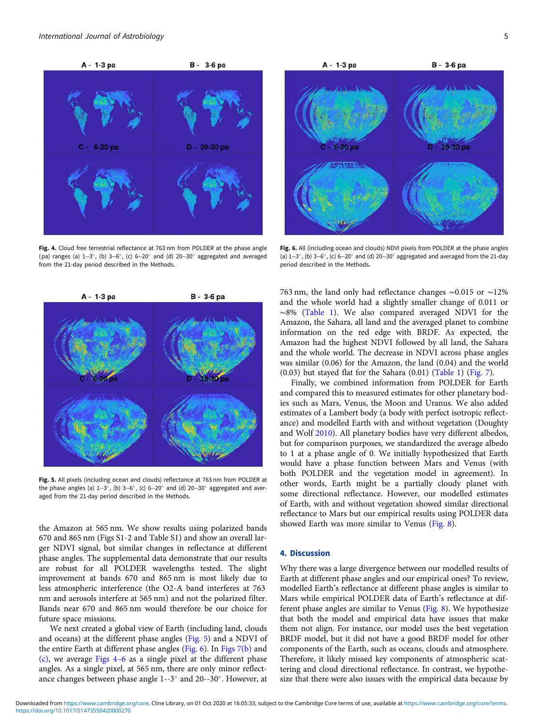

Fig. 4. Cloud free terrestrial reflectance at 763 nm from POLDER at the phase angle (pa) ranges (a) 1--3◦, (b) 3--6◦, (c) 6--20◦ and (d) 20--30◦ aggregated and averaged from the 21-day period described in the Methods.



Fig. 5. All pixels (including ocean and clouds) reflectance at 763 nm from POLDER at the phase angles (a) 1--3◦, (b) 3--6◦, (c) 6--20◦ and (d) 20--30◦ aggregated and averaged from the 21-day period described in the Methods.

the Amazon at 565 nm. We show results using polarized bands 670 and 865 nm (Figs S1-2 and Table S1) and show an overall larger NDVI signal, but similar changes in reflectance at different phase angles. The supplemental data demonstrate that our results are robust for all POLDER wavelengths tested. The slight improvement at bands 670 and 865 nm is most likely due to less atmospheric interference (the O2-A band interferes at 763 nm and aerosols interfere at 565 nm) and not the polarized filter. Bands near 670 and 865 nm would therefore be our choice for future space missions.

We next created a global view of Earth (including land, clouds and oceans) at the different phase angles (Fig. 5) and a NDVI of the entire Earth at different phase angles (Fig. 6). In [Figs 7\(b\)](#page-5-0) and [\(c\)](#page-5-0), we average Figs 4–6 as a single pixel at the different phase angles. As a single pixel, at 565 nm, there are only minor reflectance changes between phase angle 1--3◦ and 20--30◦. However, at



Fig. 6. All (including ocean and clouds) NDVI pixels from POLDER at the phase angles (a) 1--3◦, (b) 3--6◦, (c) 6--20◦ and (d) 20--30◦ aggregated and averaged from the 21-day period described in the Methods.

763 nm, the land only had reflectance changes ∼0.015 or ∼12% and the whole world had a slightly smaller change of 0.011 or ∼8% [\(Table 1\)](#page-3-0). We also compared averaged NDVI for the Amazon, the Sahara, all land and the averaged planet to combine information on the red edge with BRDF. As expected, the Amazon had the highest NDVI followed by all land, the Sahara and the whole world. The decrease in NDVI across phase angles was similar (0.06) for the Amazon, the land (0.04) and the world (0.03) but stayed flat for the Sahara (0.01) [\(Table 1\)](#page-3-0) ([Fig. 7](#page-5-0)).

Finally, we combined information from POLDER for Earth and compared this to measured estimates for other planetary bodies such as Mars, Venus, the Moon and Uranus. We also added estimates of a Lambert body (a body with perfect isotropic reflectance) and modelled Earth with and without vegetation (Doughty and Wolf [2010](#page-7-0)). All planetary bodies have very different albedos, but for comparison purposes, we standardized the average albedo to 1 at a phase angle of 0. We initially hypothesized that Earth would have a phase function between Mars and Venus (with both POLDER and the vegetation model in agreement). In other words, Earth might be a partially cloudy planet with some directional reflectance. However, our modelled estimates of Earth, with and without vegetation showed similar directional reflectance to Mars but our empirical results using POLDER data showed Earth was more similar to Venus [\(Fig. 8\)](#page-5-0).

# 4. Discussion

Why there was a large divergence between our modelled results of Earth at different phase angles and our empirical ones? To review, modelled Earth's reflectance at different phase angles is similar to Mars while empirical POLDER data of Earth's reflectance at different phase angles are similar to Venus ([Fig. 8\)](#page-5-0). We hypothesize that both the model and empirical data have issues that make them not align. For instance, our model uses the best vegetation BRDF model, but it did not have a good BRDF model for other components of the Earth, such as oceans, clouds and atmosphere. Therefore, it likely missed key components of atmospheric scattering and cloud directional reflectance. In contrast, we hypothesize that there were also issues with the empirical data because by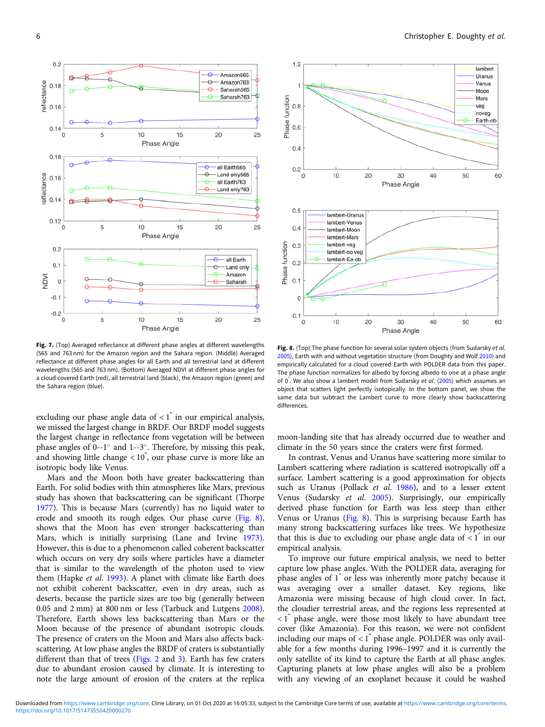<span id="page-5-0"></span>

Fig. 7. (Top) Averaged reflectance at different phase angles at different wavelengths (565 and 763 nm) for the Amazon region and the Sahara region. (Middle) Averaged reflectance at different phase angles for all Earth and all terrestrial land at different wavelengths (565 and 763 nm). (Bottom) Averaged NDVI at different phase angles for a cloud covered Earth (red), all terrestrial land (black), the Amazon region (green) and the Sahara region (blue).

excluding our phase angle data of  $\langle 1 \rangle$  in our empirical analysis, we missed the largest change in BRDF. Our BRDF model suggests the largest change in reflectance from vegetation will be between phase angles of 0--1◦ and 1--3◦. Therefore, by missing this peak, and showing little change < 10° , our phase curve is more like an isotropic body like Venus.

Mars and the Moon both have greater backscattering than Earth. For solid bodies with thin atmospheres like Mars, previous study has shown that backscattering can be significant (Thorpe [1977\)](#page-7-0). This is because Mars (currently) has no liquid water to erode and smooth its rough edges. Our phase curve (Fig. 8), shows that the Moon has even stronger backscattering than Mars, which is initially surprising (Lane and Irvine [1973\)](#page-7-0). However, this is due to a phenomenon called coherent backscatter which occurs on very dry soils where particles have a diameter that is similar to the wavelength of the photon used to view them (Hapke et al. [1993\)](#page-7-0). A planet with climate like Earth does not exhibit coherent backscatter, even in dry areas, such as deserts, because the particle sizes are too big (generally between 0.05 and 2 mm) at 800 nm or less (Tarbuck and Lutgens [2008\)](#page-7-0). Therefore, Earth shows less backscattering than Mars or the Moon because of the presence of abundant isotropic clouds. The presence of craters on the Moon and Mars also affects backscattering. At low phase angles the BRDF of craters is substantially different than that of trees ([Figs. 2](#page-2-0) and [3](#page-3-0)). Earth has few craters due to abundant erosion caused by climate. It is interesting to note the large amount of erosion of the craters at the replica



Fig. 8. (Top) The phase function for several solar system objects (from Sudarsky et al. [2005](#page-7-0)), Earth with and without vegetation structure (from Doughty and Wolf [2010\)](#page-7-0) and empirically calculated for a cloud covered Earth with POLDER data from this paper. The phase function normalizes for albedo by forcing albedo to one at a phase angle of 0<sup>°</sup>. We also show a lambert model from Sudarsky et al. ([2005\)](#page-7-0) which assumes an object that scattors light perfectly isotopically in the bottom panel, we show the object that scatters light perfectly isotopically. In the bottom panel, we show the same data but subtract the Lambert curve to more clearly show backscattering differences.

moon-landing site that has already occurred due to weather and climate in the 50 years since the craters were first formed.

In contrast, Venus and Uranus have scattering more similar to Lambert scattering where radiation is scattered isotropically off a surface. Lambert scattering is a good approximation for objects such as Uranus (Pollack et al. [1986\)](#page-7-0), and to a lesser extent Venus (Sudarsky et al. [2005\)](#page-7-0). Surprisingly, our empirically derived phase function for Earth was less steep than either Venus or Uranus (Fig. 8). This is surprising because Earth has many strong backscattering surfaces like trees. We hypothesize that this is due to excluding our phase angle data of  $\langle 1 \rangle$  in our empirical analysis.

To improve our future empirical analysis, we need to better capture low phase angles. With the POLDER data, averaging for phase angles of 1° or less was inherently more patchy because it was averaging over a smaller dataset. Key regions, like Amazonia were missing because of high cloud cover. In fact, the cloudier terrestrial areas, and the regions less represented at  $\langle 1 \rangle$  phase angle, were those most likely to have abundant tree cover (like Amazonia). For this reason, we were not confident including our maps of  $< 1$ <sup> $\degree$ </sup> phase angle. POLDER was only available for a few months during 1996–1997 and it is currently the only satellite of its kind to capture the Earth at all phase angles. Capturing planets at low phase angles will also be a problem with any viewing of an exoplanet because it could be washed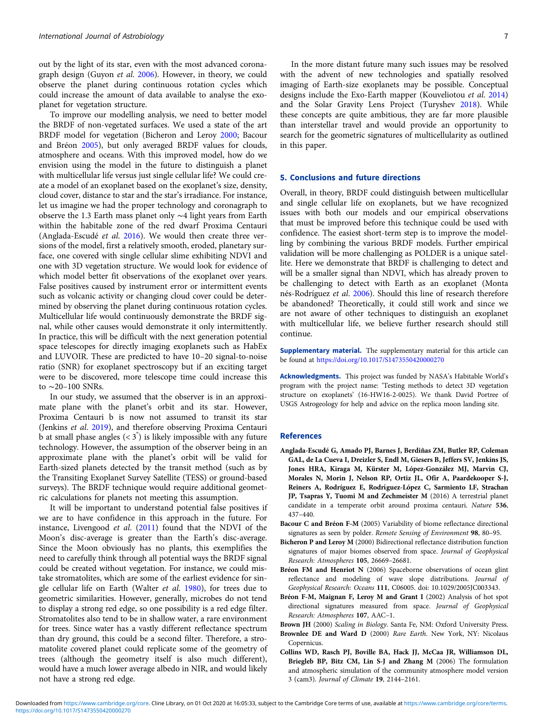<span id="page-6-0"></span>out by the light of its star, even with the most advanced coronagraph design (Guyon et al. [2006\)](#page-7-0). However, in theory, we could observe the planet during continuous rotation cycles which could increase the amount of data available to analyse the exoplanet for vegetation structure.

To improve our modelling analysis, we need to better model the BRDF of non-vegetated surfaces. We used a state of the art BRDF model for vegetation (Bicheron and Leroy 2000; Bacour and Bréon 2005), but only averaged BRDF values for clouds, atmosphere and oceans. With this improved model, how do we envision using the model in the future to distinguish a planet with multicellular life versus just single cellular life? We could create a model of an exoplanet based on the exoplanet's size, density, cloud cover, distance to star and the star's irradiance. For instance, let us imagine we had the proper technology and coronagraph to observe the 1.3 Earth mass planet only ∼4 light years from Earth within the habitable zone of the red dwarf Proxima Centauri (Anglada-Escudé et al. 2016). We would then create three versions of the model, first a relatively smooth, eroded, planetary surface, one covered with single cellular slime exhibiting NDVI and one with 3D vegetation structure. We would look for evidence of which model better fit observations of the exoplanet over years. False positives caused by instrument error or intermittent events such as volcanic activity or changing cloud cover could be determined by observing the planet during continuous rotation cycles. Multicellular life would continuously demonstrate the BRDF signal, while other causes would demonstrate it only intermittently. In practice, this will be difficult with the next generation potential space telescopes for directly imaging exoplanets such as HabEx and LUVOIR. These are predicted to have 10–20 signal-to-noise ratio (SNR) for exoplanet spectroscopy but if an exciting target were to be discovered, more telescope time could increase this to ∼20–100 SNRs.

In our study, we assumed that the observer is in an approximate plane with the planet's orbit and its star. However, Proxima Centauri b is now not assumed to transit its star (Jenkins et al. [2019](#page-7-0)), and therefore observing Proxima Centauri b at small phase angles  $( $3^{\degree}$ )$  is likely impossible with any future technology. However, the assumption of the observer being in an approximate plane with the planet's orbit will be valid for Earth-sized planets detected by the transit method (such as by the Transiting Exoplanet Survey Satellite (TESS) or ground-based surveys). The BRDF technique would require additional geometric calculations for planets not meeting this assumption.

It will be important to understand potential false positives if we are to have confidence in this approach in the future. For instance, Livengood et al. ([2011\)](#page-7-0) found that the NDVI of the Moon's disc-average is greater than the Earth's disc-average. Since the Moon obviously has no plants, this exemplifies the need to carefully think through all potential ways the BRDF signal could be created without vegetation. For instance, we could mistake stromatolites, which are some of the earliest evidence for single cellular life on Earth (Walter et al. [1980\)](#page-7-0), for trees due to geometric similarities. However, generally, microbes do not tend to display a strong red edge, so one possibility is a red edge filter. Stromatolites also tend to be in shallow water, a rare environment for trees. Since water has a vastly different reflectance spectrum than dry ground, this could be a second filter. Therefore, a stromatolite covered planet could replicate some of the geometry of trees (although the geometry itself is also much different), would have a much lower average albedo in NIR, and would likely not have a strong red edge.

In the more distant future many such issues may be resolved with the advent of new technologies and spatially resolved imaging of Earth-size exoplanets may be possible. Conceptual designs include the Exo-Earth mapper (Kouveliotou et al. [2014](#page-7-0)) and the Solar Gravity Lens Project (Turyshev [2018](#page-7-0)). While these concepts are quite ambitious, they are far more plausible than interstellar travel and would provide an opportunity to search for the geometric signatures of multicellularity as outlined in this paper.

#### 5. Conclusions and future directions

Overall, in theory, BRDF could distinguish between multicellular and single cellular life on exoplanets, but we have recognized issues with both our models and our empirical observations that must be improved before this technique could be used with confidence. The easiest short-term step is to improve the modelling by combining the various BRDF models. Further empirical validation will be more challenging as POLDER is a unique satellite. Here we demonstrate that BRDF is challenging to detect and will be a smaller signal than NDVI, which has already proven to be challenging to detect with Earth as an exoplanet (Monta nés-Rodríguez et al. [2006](#page-7-0)). Should this line of research therefore be abandoned? Theoretically, it could still work and since we are not aware of other techniques to distinguish an exoplanet with multicellular life, we believe further research should still continue.

Supplementary material. The supplementary material for this article can be found at <https://doi.org/10.1017/S1473550420000270>

Acknowledgments. This project was funded by NASA's Habitable World's program with the project name: 'Testing methods to detect 3D vegetation structure on exoplanets' (16-HW16-2-0025). We thank David Portree of USGS Astrogeology for help and advice on the replica moon landing site.

#### References

- Anglada-Escudé G, Amado PJ, Barnes J, Berdiñas ZM, Butler RP, Coleman GAL, de La Cueva I, Dreizler S, Endl M, Giesers B, Jeffers SV, Jenkins JS, Jones HRA, Kiraga M, Kürster M, López-González MJ, Marvin CJ, Morales N, Morin J, Nelson RP, Ortiz JL, Ofir A, Paardekooper S-J, Reiners A, Rodríguez E, Rodrίguez-López C, Sarmiento LF, Strachan JP, Tsapras Y, Tuomi M and Zechmeister M (2016) A terrestrial planet candidate in a temperate orbit around proxima centauri. Nature 536, 437–440.
- Bacour C and Bréon F-M (2005) Variability of biome reflectance directional signatures as seen by polder. Remote Sensing of Environment 98, 80-95.
- Bicheron P and Leroy M (2000) Bidirectional reflectance distribution function signatures of major biomes observed from space. Journal of Geophysical Research: Atmospheres 105, 26669–26681.
- Bréon FM and Henriot N (2006) Spaceborne observations of ocean glint reflectance and modeling of wave slope distributions. Journal of Geophysical Research: Oceans 111, C06005. doi: 10.1029/2005JC003343.
- Bréon F-M, Maignan F, Leroy M and Grant I (2002) Analysis of hot spot directional signatures measured from space. Journal of Geophysical Research: Atmospheres 107, AAC–1.
- Brown JH (2000) Scaling in Biology. Santa Fe, NM: Oxford University Press.
- Brownlee DE and Ward D (2000) Rare Earth. New York, NY: Nicolaus Copernicus.
- Collins WD, Rasch PJ, Boville BA, Hack JJ, McCaa JR, Williamson DL, Briegleb BP, Bitz CM, Lin S-J and Zhang M (2006) The formulation and atmospheric simulation of the community atmosphere model version 3 (cam3). Journal of Climate 19, 2144–2161.